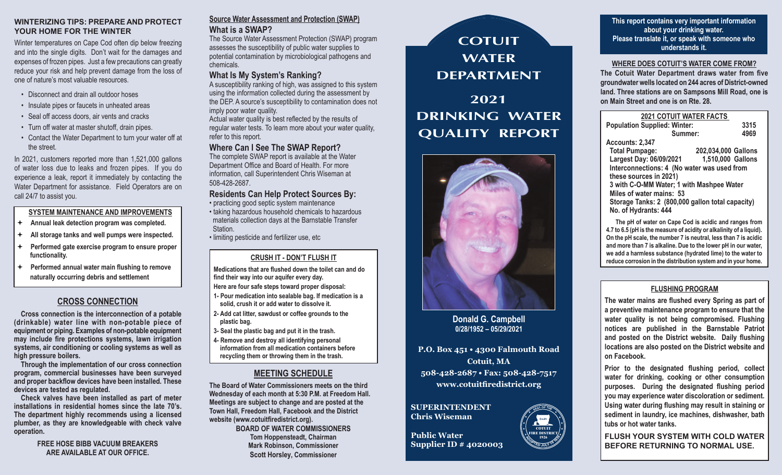### **WINTERIZING TIPS: PREPARE AND PROTECT YOUR HOME FOR THE WINTER**

Winter temperatures on Cape Cod often dip below freezing and into the single digits. Don't wait for the damages and expenses of frozen pipes. Just a few precautions can greatly reduce your risk and help prevent damage from the loss of one of nature's most valuable resources.

- Disconnect and drain all outdoor hoses
- Insulate pipes or faucets in unheated areas
- Seal off access doors, air vents and cracks
- Turn off water at master shutoff, drain pipes.
- Contact the Water Department to turn your water off at the street.

In 2021, customers reported more than 1,521,000 gallons of water loss due to leaks and frozen pipes. If you do experience a leak, report it immediately by contacting the Water Department for assistance. Field Operators are on call 24/7 to assist you.

### **SYSTEM MAINTENANCE AND IMPROVEMENTS**

- **Annual leak detection program was completed.**
- **All storage tanks and well pumps were inspected.**
- **Performed gate exercise program to ensure proper functionality.**
- **Performed annual water main flushing to remove naturally occurring debris and settlement**

### **CROSS CONNECTION**

**Cross connection is the interconnection of a potable (drinkable) water line with non-potable piece of equipment or piping. Examples of non-potable equipment may include fire protections systems, lawn irrigation systems, air conditioning or cooling systems as well as high pressure boilers.**

**Through the implementation of our cross connection program, commercial businesses have been surveyed and proper backflow devices have been installed. These devices are tested as regulated.**

**Check valves have been installed as part of meter installations in residential homes since the late 70's. The department highly recommends using a licensed plumber, as they are knowledgeable with check valve operation.**

> **FREE HOSE BIBB VACUUM BREAKERS ARE AVAILABLE AT OUR OFFICE.**

# **Source Water Assessment and Protection (SWAP) What is a SWAP?**

The Source Water Assessment Protection (SWAP) program assesses the susceptibility of public water supplies to potential contamination by microbiological pathogens and chemicals.

# **What Is My System's Ranking?**

A susceptibility ranking of high, was assigned to this system using the information collected during the assessment by the DEP. A source's susceptibility to contamination does not imply poor water quality.

Actual water quality is best reflected by the results of regular water tests. To learn more about your water quality, refer to this report.

## **Where Can I See The SWAP Report?**

The complete SWAP report is available at the Water Department Office and Board of Health. For more information, call Superintendent Chris Wiseman at 508-428-2687.

**Residents Can Help Protect Sources By:** • practicing good septic system maintenance • taking hazardous household chemicals to hazardous materials collection days at the Barnstable Transfer Station.

• limiting pesticide and fertilizer use, etc

# **CRUSH IT - DON'T FLUSH IT**

**Medications that are flushed down the toilet can and do find their way into our aquifer every day.**

- **Here are four safe steps toward proper disposal: 1- Pour medication into sealable bag. If medication is a**
- **solid, crush it or add water to dissolve it. 2- Add cat litter, sawdust or coffee grounds to the plastic bag.**
- **3- Seal the plastic bag and put it in the trash.**
- **4- Remove and destroy all identifying personal information from all medication containers before recycling them or throwing them in the trash.**

# **MEETING SCHEDULE**

**The Board of Water Commissioners meets on the third Wednesday of each month at 5:30 P.M. at Freedom Hall. Meetings are subject to change and are posted at the Town Hall, Freedom Hall, Facebook and the District website (www.cotuitfiredistrict.org).**

**BOARD OF WATER COMMISSIONERS Tom Hoppensteadt, Chairman Mark Robinson, Commissioner Scott Horsley, Commissioner**



**Donald G. Campbell 0/28/1952 – 05/29/2021**

**P.O. Box 451 • 4300 Falmouth Road Cotuit, MA 508-428-2687 • Fax: 508-428-7517 www.cotuitfiredistrict.org**

> **COTUIT FIRE DISTRICT 1926**

**<sup>A</sup>DOPTE<sup>D</sup> <sup>J</sup>UL<sup>Y</sup> <sup>1</sup><sup>9</sup> <sup>1</sup>93<sup>9</sup>**

**<sup>S</sup>EA<sup>L</sup> <sup>O</sup><sup>F</sup> <sup>T</sup>H<sup>E</sup>**

★ ★ ★ ★ ★

★ ★ ★ ★ ★

### **SUPERINTENDENT Chris Wiseman**

**Public Water Supplier ID # 4020003**

**This report contains very important information about your drinking water. Please translate it, or speak with someone who understands it.**

### **WHERE DOES COTUIT'S WATER COME FROM?**

**The Cotuit Water Department draws water from five groundwater wells located on 244 acres of District-owned land. Three stations are on Sampsons Mill Road, one is on Main Street and one is on Rte. 28.**

| <b>2021 COTUIT WATER FACTS</b>                   |                     |  |  |  |  |  |  |  |
|--------------------------------------------------|---------------------|--|--|--|--|--|--|--|
| <b>Population Supplied: Winter:</b><br>3315      |                     |  |  |  |  |  |  |  |
| Summer:                                          | 4969                |  |  |  |  |  |  |  |
| Accounts: 2,347                                  |                     |  |  |  |  |  |  |  |
| <b>Total Pumpage:</b>                            | 202,034,000 Gallons |  |  |  |  |  |  |  |
| Largest Day: 06/09/2021                          | 1,510,000 Gallons   |  |  |  |  |  |  |  |
| Interconnections: 4 (No water was used from      |                     |  |  |  |  |  |  |  |
| these sources in 2021)                           |                     |  |  |  |  |  |  |  |
| 3 with C-O-MM Water; 1 with Mashpee Water        |                     |  |  |  |  |  |  |  |
| Miles of water mains: 53                         |                     |  |  |  |  |  |  |  |
| Storage Tanks: 2 (800,000 gallon total capacity) |                     |  |  |  |  |  |  |  |
| No. of Hydrants: 444                             |                     |  |  |  |  |  |  |  |
|                                                  |                     |  |  |  |  |  |  |  |

**The pH of water on Cape Cod is acidic and ranges from 4.7 to 6.5 (pH is the measure of acidity or alkalinity of a liquid). On the pH scale, the number 7 is neutral, less than 7 is acidic and more than 7 is alkaline. Due to the lower pH in our water, we add a harmless substance (hydrated lime) to the water to reduce corrosion in the distribution system and in your home.**

### **FLUSHING PROGRAM**

**The water mains are flushed every Spring as part of a preventive maintenance program to ensure that the water quality is not being compromised. Flushing notices are published in the Barnstable Patriot and posted on the District website. Daily flushing locations are also posted on the District website and on Facebook.**

**Prior to the designated flushing period, collect water for drinking, cooking or other consumption purposes. During the designated flushing period you may experience water discoloration or sediment. Using water during flushing may result in staining or sediment in laundry, ice machines, dishwasher, bath tubs or hot water tanks.** 

**FLUSH YOUR SYSTEM WITH COLD WATER BEFORE RETURNING TO NORMAL USE.**